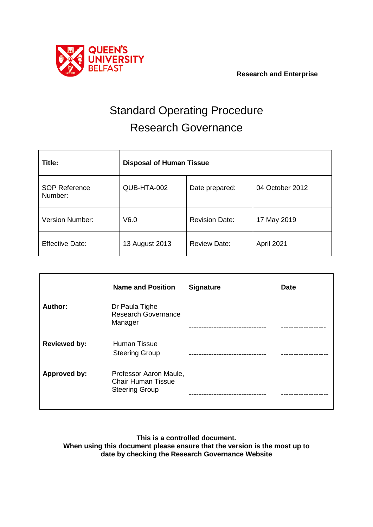

 **Research and Enterprise**

# Standard Operating Procedure Research Governance

| Title:                          | <b>Disposal of Human Tissue</b> |                       |                 |
|---------------------------------|---------------------------------|-----------------------|-----------------|
| <b>SOP Reference</b><br>Number: | QUB-HTA-002                     | Date prepared:        | 04 October 2012 |
| <b>Version Number:</b>          | V6.0                            | <b>Revision Date:</b> | 17 May 2019     |
| <b>Effective Date:</b>          | 13 August 2013                  | <b>Review Date:</b>   | April 2021      |

|                     | <b>Name and Position</b>                                                     | <b>Signature</b> | <b>Date</b> |
|---------------------|------------------------------------------------------------------------------|------------------|-------------|
| Author:             | Dr Paula Tighe<br><b>Research Governance</b><br>Manager                      |                  |             |
| <b>Reviewed by:</b> | <b>Human Tissue</b><br><b>Steering Group</b>                                 |                  |             |
| Approved by:        | Professor Aaron Maule,<br><b>Chair Human Tissue</b><br><b>Steering Group</b> |                  |             |

**This is a controlled document. When using this document please ensure that the version is the most up to date by checking the Research Governance Website**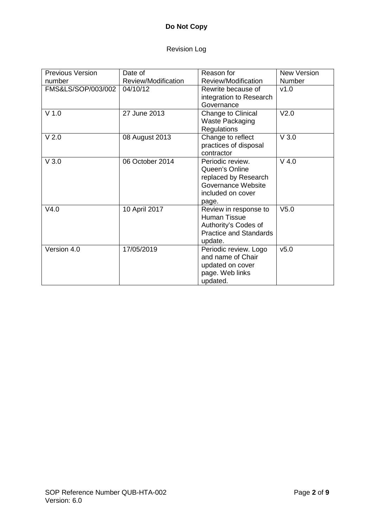# **Do Not Copy**

# Revision Log

| <b>Previous Version</b> | Date of                                    | Reason for                                                                                                     | <b>New Version</b> |
|-------------------------|--------------------------------------------|----------------------------------------------------------------------------------------------------------------|--------------------|
| number                  | Review/Modification<br>Review/Modification |                                                                                                                | <b>Number</b>      |
| FMS&LS/SOP/003/002      | 04/10/12                                   | Rewrite because of<br>integration to Research<br>Governance                                                    | v1.0               |
| $V$ 1.0                 | 27 June 2013                               | Change to Clinical<br><b>Waste Packaging</b><br><b>Regulations</b>                                             | V <sub>2.0</sub>   |
| V <sub>2.0</sub>        | 08 August 2013                             | Change to reflect<br>practices of disposal<br>contractor                                                       | V3.0               |
| V3.0                    | 06 October 2014                            | Periodic review.<br>Queen's Online<br>replaced by Research<br>Governance Website<br>included on cover<br>page. | $V$ 4.0            |
| V4.0                    | 10 April 2017                              | Review in response to<br>Human Tissue<br>Authority's Codes of<br><b>Practice and Standards</b><br>update.      | V <sub>5.0</sub>   |
| Version 4.0             | 17/05/2019                                 | Periodic review. Logo<br>and name of Chair<br>updated on cover<br>page. Web links<br>updated.                  | v5.0               |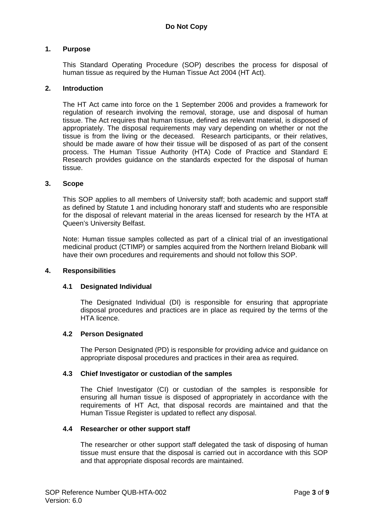# **1. Purpose**

This Standard Operating Procedure (SOP) describes the process for disposal of human tissue as required by the Human Tissue Act 2004 (HT Act).

#### **2. Introduction**

The HT Act came into force on the 1 September 2006 and provides a framework for regulation of research involving the removal, storage, use and disposal of human tissue. The Act requires that human tissue, defined as relevant material, is disposed of appropriately. The disposal requirements may vary depending on whether or not the tissue is from the living or the deceased. Research participants, or their relatives, should be made aware of how their tissue will be disposed of as part of the consent process. The Human Tissue Authority (HTA) Code of Practice and Standard E Research provides guidance on the standards expected for the disposal of human tissue.

#### **3. Scope**

This SOP applies to all members of University staff; both academic and support staff as defined by Statute 1 and including honorary staff and students who are responsible for the disposal of relevant material in the areas licensed for research by the HTA at Queen's University Belfast.

Note: Human tissue samples collected as part of a clinical trial of an investigational medicinal product (CTIMP) or samples acquired from the Northern Ireland Biobank will have their own procedures and requirements and should not follow this SOP.

#### **4. Responsibilities**

# **4.1 Designated Individual**

The Designated Individual (DI) is responsible for ensuring that appropriate disposal procedures and practices are in place as required by the terms of the HTA licence.

# **4.2 Person Designated**

The Person Designated (PD) is responsible for providing advice and guidance on appropriate disposal procedures and practices in their area as required.

#### **4.3 Chief Investigator or custodian of the samples**

The Chief Investigator (CI) or custodian of the samples is responsible for ensuring all human tissue is disposed of appropriately in accordance with the requirements of HT Act, that disposal records are maintained and that the Human Tissue Register is updated to reflect any disposal.

#### **4.4 Researcher or other support staff**

The researcher or other support staff delegated the task of disposing of human tissue must ensure that the disposal is carried out in accordance with this SOP and that appropriate disposal records are maintained.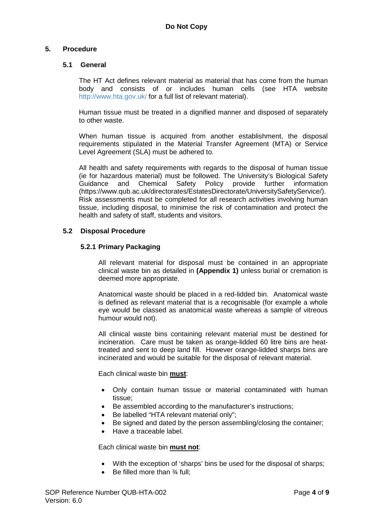# **5. Procedure**

# **5.1 General**

The HT Act defines relevant material as material that has come from the human body and consists of or includes human cells (see HTA website <http://www.hta.gov.uk/> for a full list of relevant material).

Human tissue must be treated in a dignified manner and disposed of separately to other waste.

When human tissue is acquired from another establishment, the disposal requirements stipulated in the Material Transfer Agreement (MTA) or Service Level Agreement (SLA) must be adhered to.

All health and safety requirements with regards to the disposal of human tissue (ie for hazardous material) must be followed. The University's Biological Safety and Chemical Safety Policy provide further information (https://www.qub.ac.uk/directorates/EstatesDirectorate/UniversitySafetyService/). Risk assessments must be completed for all research activities involving human tissue, including disposal, to minimise the risk of contamination and protect the health and safety of staff, students and visitors.

# **5.2 Disposal Procedure**

# **5.2.1 Primary Packaging**

All relevant material for disposal must be contained in an appropriate clinical waste bin as detailed in **(Appendix 1)** unless burial or cremation is deemed more appropriate.

Anatomical waste should be placed in a red-lidded bin. Anatomical waste is defined as relevant material that is a recognisable (for example a whole eye would be classed as anatomical waste whereas a sample of vitreous humour would not).

All clinical waste bins containing relevant material must be destined for incineration. Care must be taken as orange-lidded 60 litre bins are heattreated and sent to deep land fill. However orange-lidded sharps bins are incinerated and would be suitable for the disposal of relevant material.

Each clinical waste bin **must**:

- Only contain human tissue or material contaminated with human tissue;
- Be assembled according to the manufacturer's instructions;
- Be labelled "HTA relevant material only";
- Be signed and dated by the person assembling/closing the container;
- Have a traceable label.

Each clinical waste bin **must not**:

- With the exception of 'sharps' bins be used for the disposal of sharps;
- Be filled more than  $\frac{3}{4}$  full: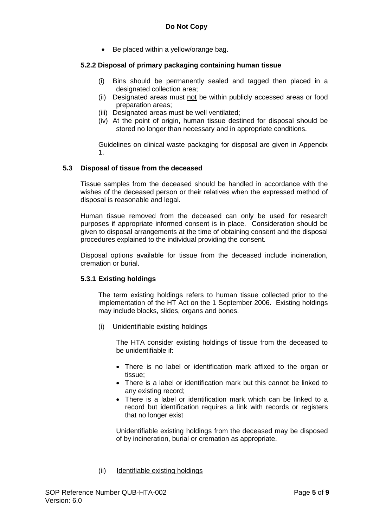• Be placed within a yellow/orange bag.

# **5.2.2 Disposal of primary packaging containing human tissue**

- (i) Bins should be permanently sealed and tagged then placed in a designated collection area;
- (ii) Designated areas must not be within publicly accessed areas or food preparation areas;
- (iii) Designated areas must be well ventilated;
- (iv) At the point of origin, human tissue destined for disposal should be stored no longer than necessary and in appropriate conditions.

Guidelines on clinical waste packaging for disposal are given in Appendix 1.

#### **5.3 Disposal of tissue from the deceased**

Tissue samples from the deceased should be handled in accordance with the wishes of the deceased person or their relatives when the expressed method of disposal is reasonable and legal.

Human tissue removed from the deceased can only be used for research purposes if appropriate informed consent is in place. Consideration should be given to disposal arrangements at the time of obtaining consent and the disposal procedures explained to the individual providing the consent.

Disposal options available for tissue from the deceased include incineration, cremation or burial.

# **5.3.1 Existing holdings**

The term existing holdings refers to human tissue collected prior to the implementation of the HT Act on the 1 September 2006. Existing holdings may include blocks, slides, organs and bones.

(i) Unidentifiable existing holdings

The HTA consider existing holdings of tissue from the deceased to be unidentifiable if:

- There is no label or identification mark affixed to the organ or tissue;
- There is a label or identification mark but this cannot be linked to any existing record;
- There is a label or identification mark which can be linked to a record but identification requires a link with records or registers that no longer exist

Unidentifiable existing holdings from the deceased may be disposed of by incineration, burial or cremation as appropriate.

#### (ii) Identifiable existing holdings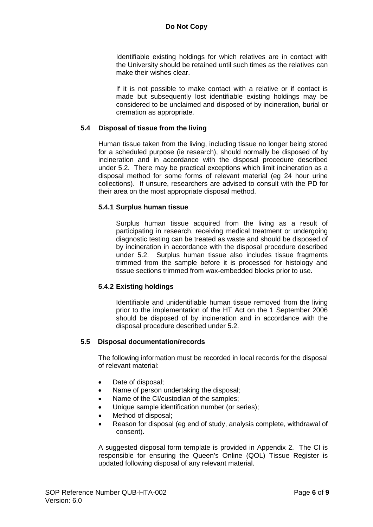Identifiable existing holdings for which relatives are in contact with the University should be retained until such times as the relatives can make their wishes clear.

If it is not possible to make contact with a relative or if contact is made but subsequently lost identifiable existing holdings may be considered to be unclaimed and disposed of by incineration, burial or cremation as appropriate.

### **5.4 Disposal of tissue from the living**

Human tissue taken from the living, including tissue no longer being stored for a scheduled purpose (ie research), should normally be disposed of by incineration and in accordance with the disposal procedure described under 5.2. There may be practical exceptions which limit incineration as a disposal method for some forms of relevant material (eg 24 hour urine collections). If unsure, researchers are advised to consult with the PD for their area on the most appropriate disposal method.

#### **5.4.1 Surplus human tissue**

Surplus human tissue acquired from the living as a result of participating in research, receiving medical treatment or undergoing diagnostic testing can be treated as waste and should be disposed of by incineration in accordance with the disposal procedure described under 5.2. Surplus human tissue also includes tissue fragments trimmed from the sample before it is processed for histology and tissue sections trimmed from wax-embedded blocks prior to use.

# **5.4.2 Existing holdings**

Identifiable and unidentifiable human tissue removed from the living prior to the implementation of the HT Act on the 1 September 2006 should be disposed of by incineration and in accordance with the disposal procedure described under 5.2.

# **5.5 Disposal documentation/records**

The following information must be recorded in local records for the disposal of relevant material:

- Date of disposal;
- Name of person undertaking the disposal;
- Name of the CI/custodian of the samples;
- Unique sample identification number (or series);
- Method of disposal:
- Reason for disposal (eg end of study, analysis complete, withdrawal of consent).

A suggested disposal form template is provided in Appendix 2. The CI is responsible for ensuring the Queen's Online (QOL) Tissue Register is updated following disposal of any relevant material.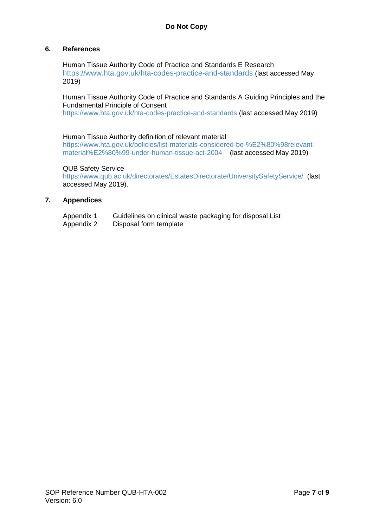# **6. References**

Human Tissue Authority Code of Practice and Standards E Research <https://www.hta.gov.uk/hta-codes-practice-and-standards> (last accessed May 2019)

# Human Tissue Authority Code of Practice and Standards A Guiding Principles and the Fundamental Principle of Consent

<https://www.hta.gov.uk/hta-codes-practice-and-standards> (last accessed May 2019)

#### Human Tissue Authority definition of relevant material

[https://www.hta.gov.uk/policies/list-materials-considered-be-%E2%80%98relevant](https://www.hta.gov.uk/policies/list-materials-considered-be-%E2%80%98relevant-material%E2%80%99-under-human-tissue-act-2004)[material%E2%80%99-under-human-tissue-act-2004](https://www.hta.gov.uk/policies/list-materials-considered-be-%E2%80%98relevant-material%E2%80%99-under-human-tissue-act-2004) (last accessed May 2019)

#### QUB Safety Service

<https://www.qub.ac.uk/directorates/EstatesDirectorate/UniversitySafetyService/> (last accessed May 2019).

# **7. Appendices**

| Appendix 1 | Guidelines on clinical waste packaging for disposal List |
|------------|----------------------------------------------------------|
| Appendix 2 | Disposal form template                                   |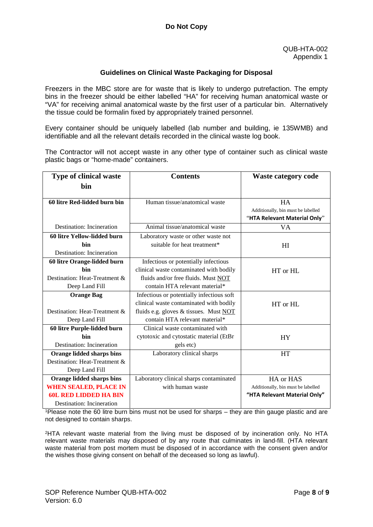### **Guidelines on Clinical Waste Packaging for Disposal**

Freezers in the MBC store are for waste that is likely to undergo putrefaction. The empty bins in the freezer should be either labelled "HA" for receiving human anatomical waste or "VA" for receiving animal anatomical waste by the first user of a particular bin. Alternatively the tissue could be formalin fixed by appropriately trained personnel.

Every container should be uniquely labelled (lab number and building, ie 135WMB) and identifiable and all the relevant details recorded in the clinical waste log book.

The Contractor will not accept waste in any other type of container such as clinical waste plastic bags or "home-made" containers.

| <b>Type of clinical waste</b> | <b>Contents</b>                           | <b>Waste category code</b>                      |
|-------------------------------|-------------------------------------------|-------------------------------------------------|
| bin                           |                                           |                                                 |
|                               |                                           |                                                 |
| 60 litre Red-lidded burn bin  | Human tissue/anatomical waste             | <b>HA</b><br>Additionally, bin must be labelled |
|                               |                                           | "HTA Relevant Material Only"                    |
| Destination: Incineration     | Animal tissue/anatomical waste            | VA                                              |
| 60 litre Yellow-lidded burn   | Laboratory waste or other waste not       |                                                 |
| bin                           | suitable for heat treatment*              | H I                                             |
| Destination: Incineration     |                                           |                                                 |
| 60 litre Orange-lidded burn   | Infectious or potentially infectious      |                                                 |
| hin                           | clinical waste contaminated with bodily   | HT or HL                                        |
| Destination: Heat-Treatment & | fluids and/or free fluids. Must NOT       |                                                 |
| Deep Land Fill                | contain HTA relevant material*            |                                                 |
| <b>Orange Bag</b>             | Infectious or potentially infectious soft |                                                 |
|                               | clinical waste contaminated with bodily   | HT or HL                                        |
| Destination: Heat-Treatment & | fluids e.g. gloves & tissues. Must NOT    |                                                 |
| Deep Land Fill                | contain HTA relevant material*            |                                                 |
| 60 litre Purple-lidded burn   | Clinical waste contaminated with          |                                                 |
| hin                           | cytotoxic and cytostatic material (EtBr   | <b>HY</b>                                       |
| Destination: Incineration     | gels etc)                                 |                                                 |
| Orange lidded sharps bins     | Laboratory clinical sharps                | <b>HT</b>                                       |
| Destination: Heat-Treatment & |                                           |                                                 |
| Deep Land Fill                |                                           |                                                 |
| Orange lidded sharps bins     | Laboratory clinical sharps contaminated   | HA or HAS                                       |
| <b>WHEN SEALED, PLACE IN</b>  | with human waste                          | Additionally, bin must be labelled              |
| <b>60L RED LIDDED HA BIN</b>  |                                           | "HTA Relevant Material Only"                    |
| Destination: Incineration     |                                           |                                                 |

1Please note the 60 litre burn bins must not be used for sharps – they are thin gauge plastic and are not designed to contain sharps.

2HTA relevant waste material from the living must be disposed of by incineration only. No HTA relevant waste materials may disposed of by any route that culminates in land-fill. (HTA relevant waste material from post mortem must be disposed of in accordance with the consent given and/or the wishes those giving consent on behalf of the deceased so long as lawful).